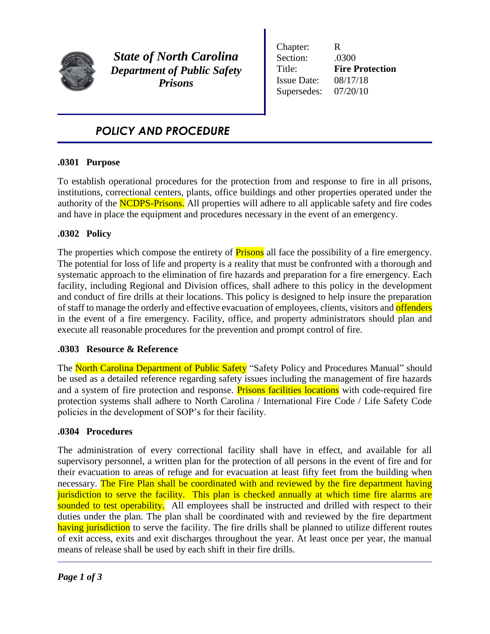

*State of North Carolina Department of Public Safety Prisons*

Chapter: R Section: .0300 Title: **Fire Protection** Issue Date: 08/17/18 Supersedes: 07/20/10

# *POLICY AND PROCEDURE*

## **.0301 Purpose**

To establish operational procedures for the protection from and response to fire in all prisons, institutions, correctional centers, plants, office buildings and other properties operated under the authority of the NCDPS-Prisons. All properties will adhere to all applicable safety and fire codes and have in place the equipment and procedures necessary in the event of an emergency.

## **.0302 Policy**

The properties which compose the entirety of **Prisons** all face the possibility of a fire emergency. The potential for loss of life and property is a reality that must be confronted with a thorough and systematic approach to the elimination of fire hazards and preparation for a fire emergency. Each facility, including Regional and Division offices, shall adhere to this policy in the development and conduct of fire drills at their locations. This policy is designed to help insure the preparation of staff to manage the orderly and effective evacuation of employees, clients, visitors and **offenders** in the event of a fire emergency. Facility, office, and property administrators should plan and execute all reasonable procedures for the prevention and prompt control of fire.

## **.0303 Resource & Reference**

The North Carolina Department of Public Safety "Safety Policy and Procedures Manual" should be used as a detailed reference regarding safety issues including the management of fire hazards and a system of fire protection and response. Prisons facilities locations with code-required fire protection systems shall adhere to North Carolina / International Fire Code / Life Safety Code policies in the development of SOP's for their facility.

## **.0304 Procedures**

The administration of every correctional facility shall have in effect, and available for all supervisory personnel, a written plan for the protection of all persons in the event of fire and for their evacuation to areas of refuge and for evacuation at least fifty feet from the building when necessary. The Fire Plan shall be coordinated with and reviewed by the fire department having jurisdiction to serve the facility. This plan is checked annually at which time fire alarms are sounded to test operability. All employees shall be instructed and drilled with respect to their duties under the plan. The plan shall be coordinated with and reviewed by the fire department having jurisdiction to serve the facility. The fire drills shall be planned to utilize different routes of exit access, exits and exit discharges throughout the year. At least once per year, the manual means of release shall be used by each shift in their fire drills.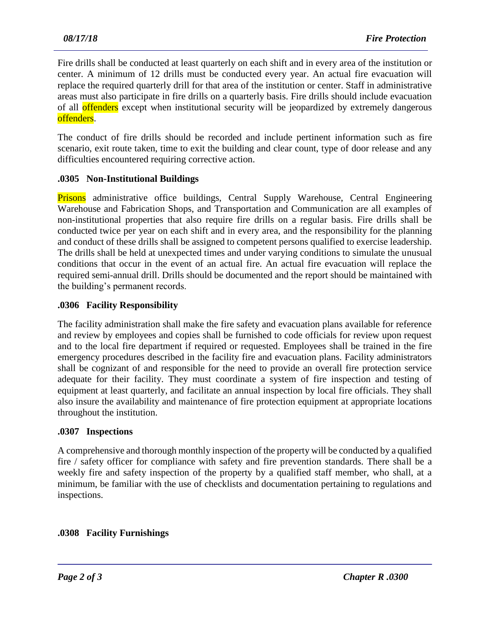Fire drills shall be conducted at least quarterly on each shift and in every area of the institution or center. A minimum of 12 drills must be conducted every year. An actual fire evacuation will replace the required quarterly drill for that area of the institution or center. Staff in administrative areas must also participate in fire drills on a quarterly basis. Fire drills should include evacuation of all **offenders** except when institutional security will be jeopardized by extremely dangerous offenders.

The conduct of fire drills should be recorded and include pertinent information such as fire scenario, exit route taken, time to exit the building and clear count, type of door release and any difficulties encountered requiring corrective action.

### **.0305 Non-Institutional Buildings**

**Prisons** administrative office buildings, Central Supply Warehouse, Central Engineering Warehouse and Fabrication Shops, and Transportation and Communication are all examples of non-institutional properties that also require fire drills on a regular basis. Fire drills shall be conducted twice per year on each shift and in every area, and the responsibility for the planning and conduct of these drills shall be assigned to competent persons qualified to exercise leadership. The drills shall be held at unexpected times and under varying conditions to simulate the unusual conditions that occur in the event of an actual fire. An actual fire evacuation will replace the required semi-annual drill. Drills should be documented and the report should be maintained with the building's permanent records.

### **.0306 Facility Responsibility**

The facility administration shall make the fire safety and evacuation plans available for reference and review by employees and copies shall be furnished to code officials for review upon request and to the local fire department if required or requested. Employees shall be trained in the fire emergency procedures described in the facility fire and evacuation plans. Facility administrators shall be cognizant of and responsible for the need to provide an overall fire protection service adequate for their facility. They must coordinate a system of fire inspection and testing of equipment at least quarterly, and facilitate an annual inspection by local fire officials. They shall also insure the availability and maintenance of fire protection equipment at appropriate locations throughout the institution.

#### **.0307 Inspections**

A comprehensive and thorough monthly inspection of the property will be conducted by a qualified fire / safety officer for compliance with safety and fire prevention standards. There shall be a weekly fire and safety inspection of the property by a qualified staff member, who shall, at a minimum, be familiar with the use of checklists and documentation pertaining to regulations and inspections.

## **.0308 Facility Furnishings**